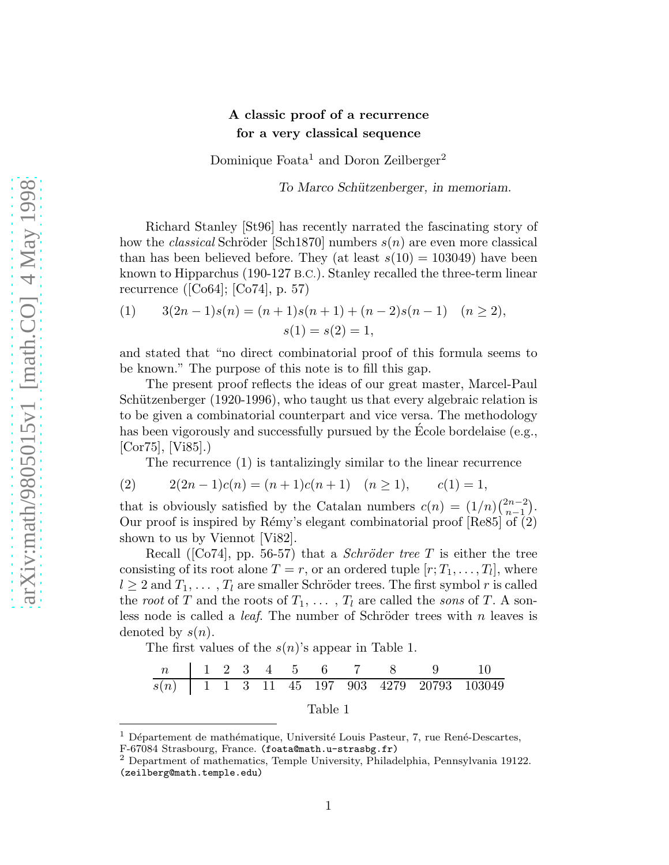## A classic proof of a recurrence for a very classical sequence

Dominique Foata<sup>1</sup> and Doron Zeilberger<sup>2</sup>

To Marco Schützenberger, in memoriam.

Richard Stanley [St96] has recently narrated the fascinating story of how the *classical* Schröder [Sch1870] numbers  $s(n)$  are even more classical than has been believed before. They (at least  $s(10) = 103049$ ) have been known to Hipparchus (190-127 B.C.). Stanley recalled the three-term linear recurrence ([Co64]; [Co74], p. 57)

(1) 
$$
3(2n-1)s(n) = (n+1)s(n+1) + (n-2)s(n-1) \quad (n \ge 2),
$$

$$
s(1) = s(2) = 1,
$$

and stated that "no direct combinatorial proof of this formula seems to be known." The purpose of this note is to fill this gap.

The present proof reflects the ideas of our great master, Marcel-Paul Schützenberger  $(1920-1996)$ , who taught us that every algebraic relation is to be given a combinatorial counterpart and vice versa. The methodology has been vigorously and successfully pursued by the Ecole bordelaise (e.g., [Cor75], [Vi85].)

The recurrence (1) is tantalizingly similar to the linear recurrence

$$
(2) \qquad 2(2n-1)c(n) = (n+1)c(n+1) \quad (n \ge 1), \qquad c(1) = 1,
$$

that is obviously satisfied by the Catalan numbers  $c(n) = (1/n) \binom{2n-2}{n-1}$  $\binom{2n-2}{n-1}$ . Our proof is inspired by Rémy's elegant combinatorial proof  $[Re85]$  of  $(2)$ shown to us by Viennot  $|Vi82|$ .

Recall ([Co74], pp. 56-57) that a *Schröder tree* T is either the tree consisting of its root alone  $T = r$ , or an ordered tuple  $[r; T_1, \ldots, T_l]$ , where  $l \geq 2$  and  $T_1, \ldots, T_l$  are smaller Schröder trees. The first symbol r is called the root of T and the roots of  $T_1, \ldots, T_l$  are called the sons of T. A sonless node is called a *leaf*. The number of Schröder trees with  $n$  leaves is denoted by  $s(n)$ .

The first values of the  $s(n)$ 's appear in Table 1.

n 1 2 3 4 5 6 7 8 9 10 s(n) 1 1 3 11 45 197 903 4279 20793 103049 Table 1

 $1$  Département de mathématique, Université Louis Pasteur, 7, rue René-Descartes,

F-67084 Strasbourg, France. (foata@math.u-strasbg.fr)

<sup>2</sup> Department of mathematics, Temple University, Philadelphia, Pennsylvania 19122. (zeilberg@math.temple.edu)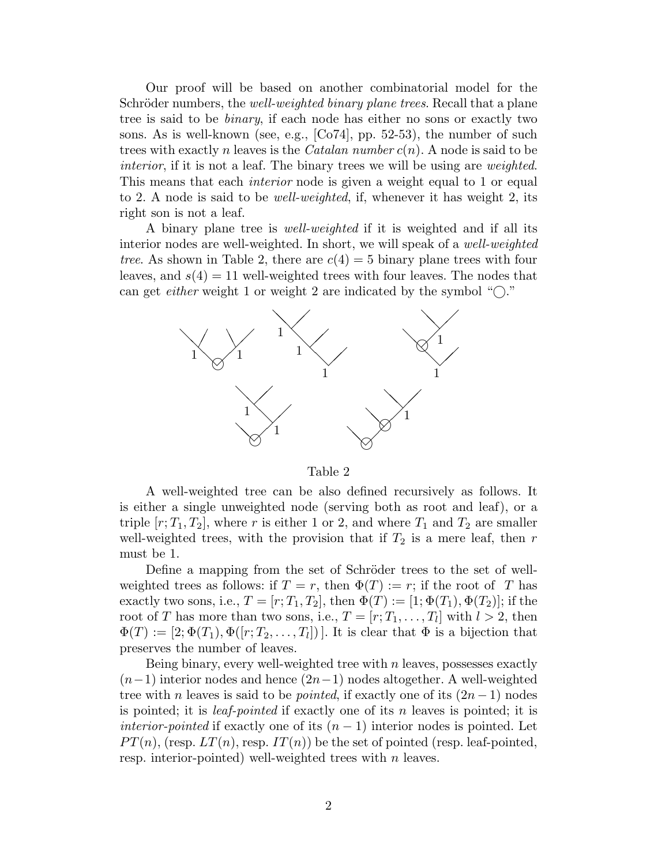Our proof will be based on another combinatorial model for the Schröder numbers, the *well-weighted binary plane trees*. Recall that a plane tree is said to be binary, if each node has either no sons or exactly two sons. As is well-known (see, e.g.,  $[Co74]$ , pp. 52-53), the number of such trees with exactly n leaves is the *Catalan number*  $c(n)$ . A node is said to be interior, if it is not a leaf. The binary trees we will be using are *weighted*. This means that each *interior* node is given a weight equal to 1 or equal to 2. A node is said to be well-weighted, if, whenever it has weight 2, its right son is not a leaf.

A binary plane tree is well-weighted if it is weighted and if all its interior nodes are well-weighted. In short, we will speak of a *well-weighted* tree. As shown in Table 2, there are  $c(4) = 5$  binary plane trees with four leaves, and  $s(4) = 11$  well-weighted trees with four leaves. The nodes that can get *either* weight 1 or weight 2 are indicated by the symbol " $\bigcirc$ ."



## Table 2

A well-weighted tree can be also defined recursively as follows. It is either a single unweighted node (serving both as root and leaf), or a triple  $[r; T_1, T_2]$ , where r is either 1 or 2, and where  $T_1$  and  $T_2$  are smaller well-weighted trees, with the provision that if  $T_2$  is a mere leaf, then r must be 1.

Define a mapping from the set of Schröder trees to the set of wellweighted trees as follows: if  $T = r$ , then  $\Phi(T) := r$ ; if the root of T has exactly two sons, i.e.,  $T = [r; T_1, T_2]$ , then  $\Phi(T) := [1; \Phi(T_1), \Phi(T_2)]$ ; if the root of T has more than two sons, i.e.,  $T = [r; T_1, \ldots, T_l]$  with  $l > 2$ , then  $\Phi(T) := [2; \Phi(T_1), \Phi([r; T_2, \ldots, T_l])]$ . It is clear that  $\Phi$  is a bijection that preserves the number of leaves.

Being binary, every well-weighted tree with  $n$  leaves, possesses exactly  $(n-1)$  interior nodes and hence  $(2n-1)$  nodes altogether. A well-weighted tree with n leaves is said to be *pointed*, if exactly one of its  $(2n-1)$  nodes is pointed; it is *leaf-pointed* if exactly one of its n leaves is pointed; it is *interior-pointed* if exactly one of its  $(n - 1)$  interior nodes is pointed. Let  $PT(n)$ , (resp.  $LT(n)$ , resp.  $IT(n)$ ) be the set of pointed (resp. leaf-pointed, resp. interior-pointed) well-weighted trees with  $n$  leaves.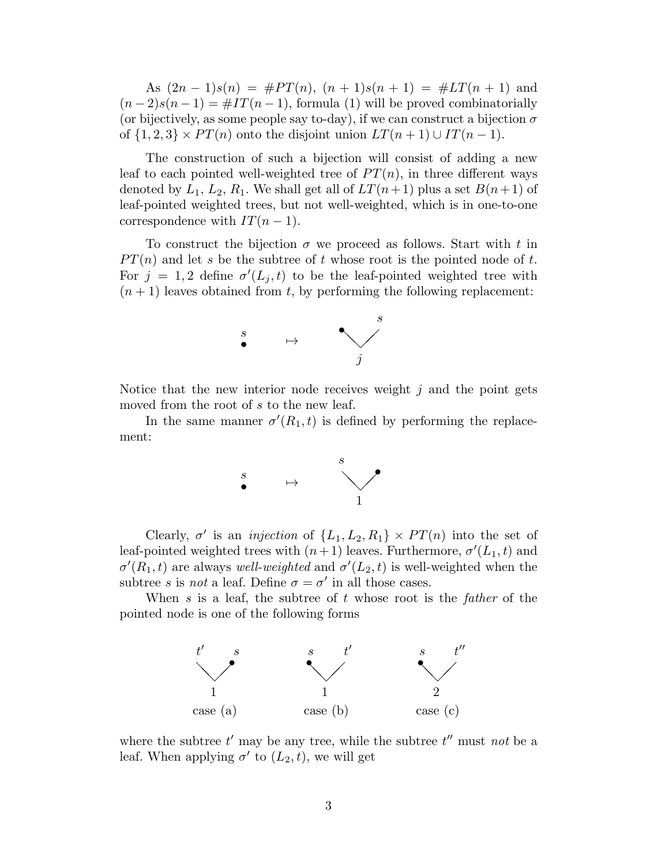As  $(2n-1)s(n) = #PT(n), (n+1)s(n+1) = #LT(n+1)$  and  $(n-2)s(n-1) = #IT(n-1)$ , formula (1) will be proved combinatorially (or bijectively, as some people say to-day), if we can construct a bijection  $\sigma$ of  $\{1,2,3\} \times PT(n)$  onto the disjoint union  $LT(n+1) \cup IT(n-1)$ .

The construction of such a bijection will consist of adding a new leaf to each pointed well-weighted tree of  $PT(n)$ , in three different ways denoted by  $L_1, L_2, R_1$ . We shall get all of  $LT(n+1)$  plus a set  $B(n+1)$  of leaf-pointed weighted trees, but not well-weighted, which is in one-to-one correspondence with  $IT(n-1)$ .

To construct the bijection  $\sigma$  we proceed as follows. Start with t in  $PT(n)$  and let s be the subtree of t whose root is the pointed node of t. For  $j = 1, 2$  define  $\sigma'(L_j, t)$  to be the leaf-pointed weighted tree with  $(n + 1)$  leaves obtained from t, by performing the following replacement:



Notice that the new interior node receives weight  $j$  and the point gets moved from the root of s to the new leaf.

In the same manner  $\sigma'(R_1, t)$  is defined by performing the replacement:



Clearly,  $\sigma'$  is an *injection* of  $\{L_1, L_2, R_1\} \times PT(n)$  into the set of leaf-pointed weighted trees with  $(n+1)$  leaves. Furthermore,  $\sigma'(L_1, t)$  and  $\sigma'(R_1,t)$  are always well-weighted and  $\sigma'(L_2,t)$  is well-weighted when the subtree s is not a leaf. Define  $\sigma = \sigma'$  in all those cases.

When s is a leaf, the subtree of t whose root is the father of the pointed node is one of the following forms



where the subtree  $t'$  may be any tree, while the subtree  $t''$  must not be a leaf. When applying  $\sigma'$  to  $(L_2, t)$ , we will get